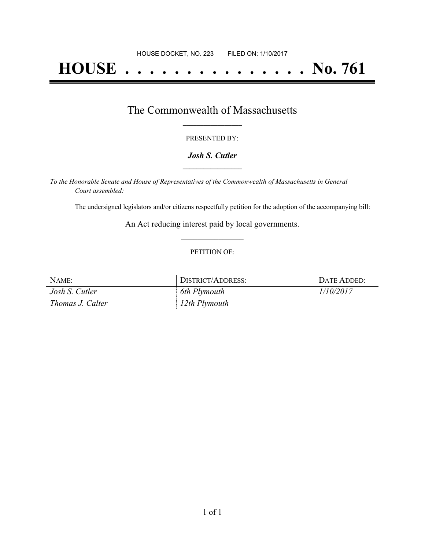# **HOUSE . . . . . . . . . . . . . . . No. 761**

## The Commonwealth of Massachusetts **\_\_\_\_\_\_\_\_\_\_\_\_\_\_\_\_\_**

#### PRESENTED BY:

#### *Josh S. Cutler* **\_\_\_\_\_\_\_\_\_\_\_\_\_\_\_\_\_**

*To the Honorable Senate and House of Representatives of the Commonwealth of Massachusetts in General Court assembled:*

The undersigned legislators and/or citizens respectfully petition for the adoption of the accompanying bill:

An Act reducing interest paid by local governments. **\_\_\_\_\_\_\_\_\_\_\_\_\_\_\_**

#### PETITION OF:

| NAME:            | DISTRICT/ADDRESS: | Date Added <sup>.</sup> |
|------------------|-------------------|-------------------------|
| Josh S. Cutler   | 6th Plymouth      | 10/2017                 |
| Thomas J. Calter | 12th Plymouth     |                         |